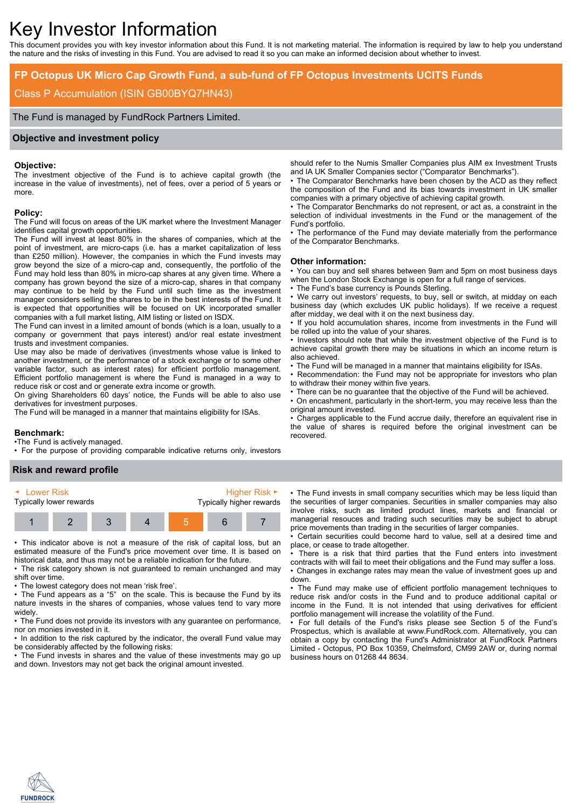# Key Investor Information

This document provides you with key investor information about this Fund. It is not marketing material. The information is required by law to help you understand the nature and the risks of investing in this Fund. You are advised to read it so you can make an informed decision about whether to invest.

# **FP Octopus UK Micro Cap Growth Fund, a sub-fund of FP Octopus Investments UCITS Funds**

# Class P Accumulation (ISIN GB00BYQ7HN43)

The Fund is managed by FundRock Partners Limited.

#### **Objective and investment policy**

#### **Objective:**

The investment objective of the Fund is to achieve capital growth (the increase in the value of investments), net of fees, over a period of 5 years or more.

#### **Policy:**

The Fund will focus on areas of the UK market where the Investment Manager identifies capital growth opportunities.

The Fund will invest at least 80% in the shares of companies, which at the point of investment, are micro-caps (i.e. has a market capitalization of less than £250 million). However, the companies in which the Fund invests may grow beyond the size of a micro-cap and, consequently, the portfolio of the Fund may hold less than 80% in micro-cap shares at any given time. Where a company has grown beyond the size of a micro-cap, shares in that company may continue to be held by the Fund until such time as the investment manager considers selling the shares to be in the best interests of the Fund. It is expected that opportunities will be focused on UK incorporated smaller companies with a full market listing, AIM listing or listed on ISDX.

The Fund can invest in a limited amount of bonds (which is a loan, usually to a company or government that pays interest) and/or real estate investment trusts and investment companies.

Use may also be made of derivatives (investments whose value is linked to another investment, or the performance of a stock exchange or to some other variable factor, such as interest rates) for efficient portfolio management. Efficient portfolio management is where the Fund is managed in a way to reduce risk or cost and or generate extra income or growth.

On giving Shareholders 60 days' notice, the Funds will be able to also use derivatives for investment purposes.

The Fund will be managed in a manner that maintains eligibility for ISAs.

#### **Benchmark:**

•The Fund is actively managed.

• For the purpose of providing comparable indicative returns only, investors

#### **Risk and reward profile**



• This indicator above is not a measure of the risk of capital loss, but an estimated measure of the Fund's price movement over time. It is based on historical data, and thus may not be a reliable indication for the future.

• The risk category shown is not guaranteed to remain unchanged and may shift over time.

• The lowest category does not mean 'risk free'.

• The Fund appears as a "5" on the scale. This is because the Fund by its nature invests in the shares of companies, whose values tend to vary more widely.

• The Fund does not provide its investors with any quarantee on performance. nor on monies invested in it.

• In addition to the risk captured by the indicator, the overall Fund value may be considerably affected by the following risks:

• The Fund invests in shares and the value of these investments may go up and down. Investors may not get back the original amount invested.

should refer to the Numis Smaller Companies plus AIM ex Investment Trusts and IA UK Smaller Companies sector ("Comparator Benchmarks").

• The Comparator Benchmarks have been chosen by the ACD as they reflect the composition of the Fund and its bias towards investment in UK smaller companies with a primary objective of achieving capital growth.

• The Comparator Benchmarks do not represent, or act as, a constraint in the selection of individual investments in the Fund or the management of the Fund's portfolio.

• The performance of the Fund may deviate materially from the performance of the Comparator Benchmarks.

#### **Other information:**

• You can buy and sell shares between 9am and 5pm on most business days when the London Stock Exchange is open for a full range of services.

The Fund's base currency is Pounds Sterling.

• We carry out investors' requests, to buy, sell or switch, at midday on each business day (which excludes UK public holidays). If we receive a request after midday, we deal with it on the next business day.

• If you hold accumulation shares, income from investments in the Fund will be rolled up into the value of your shares.

• Investors should note that while the investment objective of the Fund is to achieve capital growth there may be situations in which an income return is also achieved.

• The Fund will be managed in a manner that maintains eligibility for ISAs.

• Recommendation: the Fund may not be appropriate for investors who plan to withdraw their money within five years.

• There can be no guarantee that the objective of the Fund will be achieved.

• On encashment, particularly in the short-term, you may receive less than the original amount invested.

• Charges applicable to the Fund accrue daily, therefore an equivalent rise in the value of shares is required before the original investment can be recovered.

• The Fund invests in small company securities which may be less liquid than the securities of larger companies. Securities in smaller companies may also involve risks, such as limited product lines, markets and financial or managerial resouces and trading such securities may be subject to abrupt price movements than trading in the securities of larger companies.

• Certain securities could become hard to value, sell at a desired time and place, or cease to trade altogether.

• There is a risk that third parties that the Fund enters into investment contracts with will fail to meet their obligations and the Fund may suffer a loss. • Changes in exchange rates may mean the value of investment goes up and down.

• The Fund may make use of efficient portfolio management techniques to reduce risk and/or costs in the Fund and to produce additional capital or income in the Fund. It is not intended that using derivatives for efficient portfolio management will increase the volatility of the Fund.

• For full details of the Fund's risks please see Section 5 of the Fund's Prospectus, which is available at www.FundRock.com. Alternatively, you can obtain a copy by contacting the Fund's Administrator at FundRock Partners Limited - Octopus, PO Box 10359, Chelmsford, CM99 2AW or, during normal business hours on 01268 44 8634.